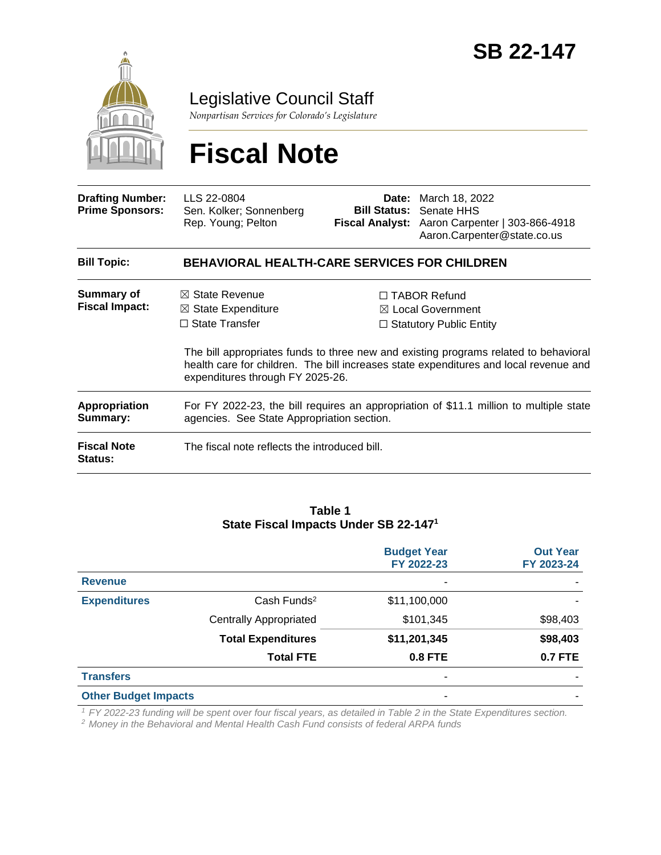

Legislative Council Staff

*Nonpartisan Services for Colorado's Legislature*

# **Fiscal Note**

| <b>Drafting Number:</b><br><b>Prime Sponsors:</b> | LLS 22-0804<br>Sen. Kolker; Sonnenberg<br>Rep. Young; Pelton                                                                         |  | <b>Date:</b> March 18, 2022<br><b>Bill Status: Senate HHS</b><br>Fiscal Analyst: Aaron Carpenter   303-866-4918<br>Aaron.Carpenter@state.co.us                                                                                                                         |  |
|---------------------------------------------------|--------------------------------------------------------------------------------------------------------------------------------------|--|------------------------------------------------------------------------------------------------------------------------------------------------------------------------------------------------------------------------------------------------------------------------|--|
| <b>Bill Topic:</b>                                | <b>BEHAVIORAL HEALTH-CARE SERVICES FOR CHILDREN</b>                                                                                  |  |                                                                                                                                                                                                                                                                        |  |
| Summary of<br><b>Fiscal Impact:</b>               | $\boxtimes$ State Revenue<br>$\boxtimes$ State Expenditure<br>$\Box$ State Transfer<br>expenditures through FY 2025-26.              |  | $\Box$ TABOR Refund<br>$\boxtimes$ Local Government<br>$\Box$ Statutory Public Entity<br>The bill appropriates funds to three new and existing programs related to behavioral<br>health care for children. The bill increases state expenditures and local revenue and |  |
| <b>Appropriation</b><br>Summary:                  | For FY 2022-23, the bill requires an appropriation of \$11.1 million to multiple state<br>agencies. See State Appropriation section. |  |                                                                                                                                                                                                                                                                        |  |
| <b>Fiscal Note</b><br><b>Status:</b>              | The fiscal note reflects the introduced bill.                                                                                        |  |                                                                                                                                                                                                                                                                        |  |

#### **Table 1 State Fiscal Impacts Under SB 22-147<sup>1</sup>**

|                             |                               | <b>Budget Year</b><br>FY 2022-23 | <b>Out Year</b><br>FY 2023-24 |
|-----------------------------|-------------------------------|----------------------------------|-------------------------------|
| <b>Revenue</b>              |                               |                                  |                               |
| <b>Expenditures</b>         | $Cash$ Funds <sup>2</sup>     | \$11,100,000                     |                               |
|                             | <b>Centrally Appropriated</b> | \$101,345                        | \$98,403                      |
|                             | <b>Total Expenditures</b>     | \$11,201,345                     | \$98,403                      |
|                             | <b>Total FTE</b>              | <b>0.8 FTE</b>                   | <b>0.7 FTE</b>                |
| <b>Transfers</b>            |                               | ۰                                |                               |
| <b>Other Budget Impacts</b> |                               |                                  |                               |

*<sup>1</sup>FY 2022-23 funding will be spent over four fiscal years, as detailed in Table 2 in the State Expenditures section.*

*<sup>2</sup>Money in the Behavioral and Mental Health Cash Fund consists of federal ARPA funds*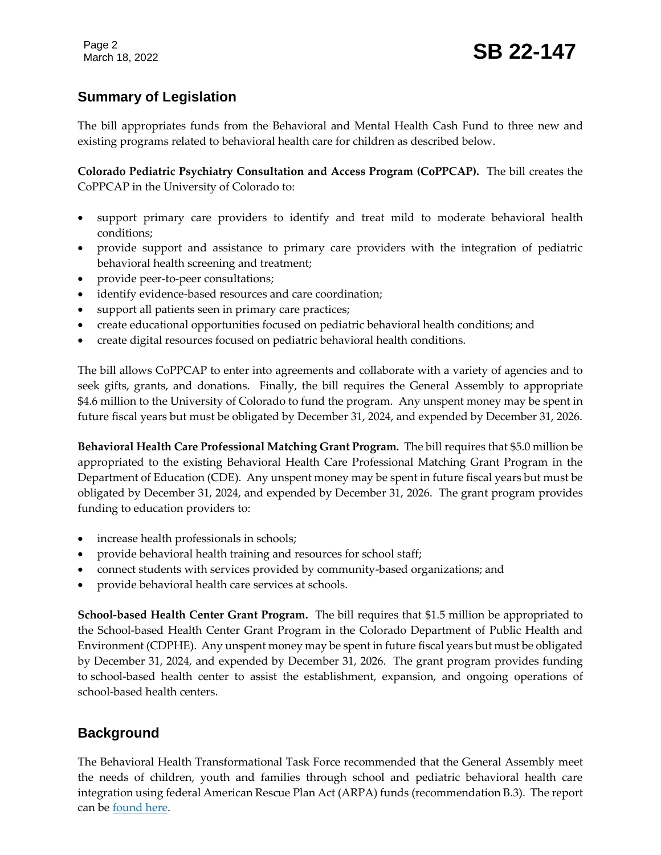# **Summary of Legislation**

The bill appropriates funds from the Behavioral and Mental Health Cash Fund to three new and existing programs related to behavioral health care for children as described below.

**Colorado Pediatric Psychiatry Consultation and Access Program (CoPPCAP).** The bill creates the CoPPCAP in the University of Colorado to:

- support primary care providers to identify and treat mild to moderate behavioral health conditions;
- provide support and assistance to primary care providers with the integration of pediatric behavioral health screening and treatment;
- provide peer-to-peer consultations;
- identify evidence-based resources and care coordination;
- support all patients seen in primary care practices;
- create educational opportunities focused on pediatric behavioral health conditions; and
- create digital resources focused on pediatric behavioral health conditions.

The bill allows CoPPCAP to enter into agreements and collaborate with a variety of agencies and to seek gifts, grants, and donations. Finally, the bill requires the General Assembly to appropriate \$4.6 million to the University of Colorado to fund the program. Any unspent money may be spent in future fiscal years but must be obligated by December 31, 2024, and expended by December 31, 2026.

**Behavioral Health Care Professional Matching Grant Program.** The bill requires that \$5.0 million be appropriated to the existing Behavioral Health Care Professional Matching Grant Program in the Department of Education (CDE). Any unspent money may be spent in future fiscal years but must be obligated by December 31, 2024, and expended by December 31, 2026. The grant program provides funding to education providers to:

- increase health professionals in schools;
- provide behavioral health training and resources for school staff;
- connect students with services provided by community-based organizations; and
- provide behavioral health care services at schools.

**School-based Health Center Grant Program.** The bill requires that \$1.5 million be appropriated to the School-based Health Center Grant Program in the Colorado Department of Public Health and Environment (CDPHE). Any unspent money may be spent in future fiscal years but must be obligated by December 31, 2024, and expended by December 31, 2026. The grant program provides funding to school-based health center to assist the establishment, expansion, and ongoing operations of school-based health centers.

# **Background**

The Behavioral Health Transformational Task Force recommended that the General Assembly meet the needs of children, youth and families through school and pediatric behavioral health care integration using federal American Rescue Plan Act (ARPA) funds (recommendation B.3). The report can be [found here.](https://leg.colorado.gov/sites/default/files/images/committees/2017/bhttf_final_report.pdf)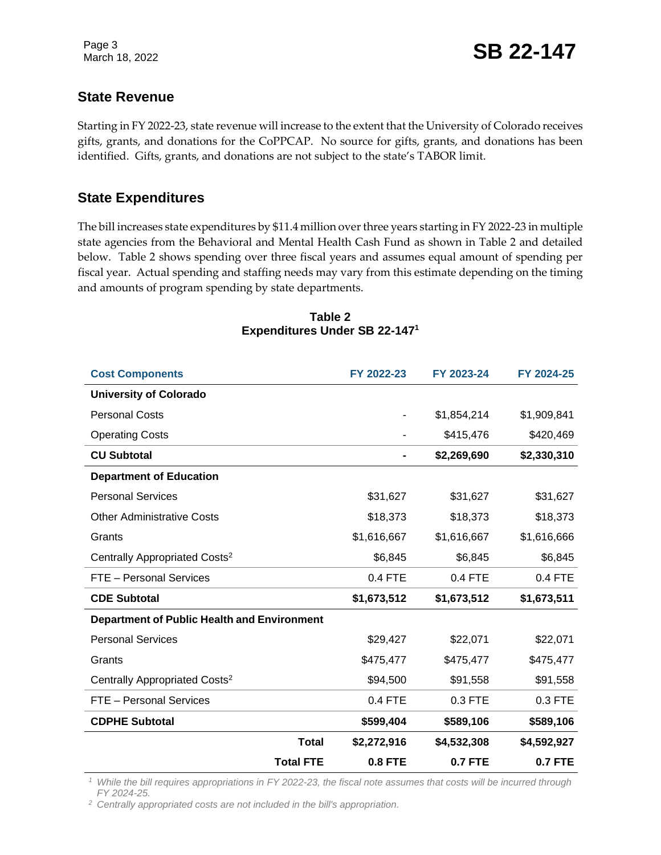## **State Revenue**

Starting in FY 2022-23, state revenue will increase to the extent that the University of Colorado receives gifts, grants, and donations for the CoPPCAP. No source for gifts, grants, and donations has been identified. Gifts, grants, and donations are not subject to the state's TABOR limit.

## **State Expenditures**

The bill increases state expenditures by \$11.4 million over three years starting in FY 2022-23 in multiple state agencies from the Behavioral and Mental Health Cash Fund as shown in Table 2 and detailed below. Table 2 shows spending over three fiscal years and assumes equal amount of spending per fiscal year. Actual spending and staffing needs may vary from this estimate depending on the timing and amounts of program spending by state departments.

| <b>Total FTE</b>                                   | <b>0.8 FTE</b> | <b>0.7 FTE</b> | <b>0.7 FTE</b> |
|----------------------------------------------------|----------------|----------------|----------------|
| <b>Total</b>                                       | \$2,272,916    | \$4,532,308    | \$4,592,927    |
| <b>CDPHE Subtotal</b>                              | \$599,404      | \$589,106      | \$589,106      |
| FTE - Personal Services                            | 0.4 FTE        | 0.3 FTE        | 0.3 FTE        |
| Centrally Appropriated Costs <sup>2</sup>          | \$94,500       | \$91,558       | \$91,558       |
| Grants                                             | \$475,477      | \$475,477      | \$475,477      |
| <b>Personal Services</b>                           | \$29,427       | \$22,071       | \$22,071       |
| <b>Department of Public Health and Environment</b> |                |                |                |
| <b>CDE Subtotal</b>                                | \$1,673,512    | \$1,673,512    | \$1,673,511    |
| FTE - Personal Services                            | 0.4 FTE        | 0.4 FTE        | 0.4 FTE        |
| Centrally Appropriated Costs <sup>2</sup>          | \$6,845        | \$6,845        | \$6,845        |
| Grants                                             | \$1,616,667    | \$1,616,667    | \$1,616,666    |
| <b>Other Administrative Costs</b>                  | \$18,373       | \$18,373       | \$18,373       |
| <b>Personal Services</b>                           | \$31,627       | \$31,627       | \$31,627       |
| <b>Department of Education</b>                     |                |                |                |
| <b>CU Subtotal</b>                                 | $\blacksquare$ | \$2,269,690    | \$2,330,310    |
| <b>Operating Costs</b>                             |                | \$415,476      | \$420,469      |
| <b>Personal Costs</b>                              | ۰              | \$1,854,214    | \$1,909,841    |
| <b>University of Colorado</b>                      |                |                |                |
| <b>Cost Components</b>                             | FY 2022-23     | FY 2023-24     | FY 2024-25     |

#### **Table 2 Expenditures Under SB 22-147<sup>1</sup>**

*<sup>1</sup> While the bill requires appropriations in FY 2022-23, the fiscal note assumes that costs will be incurred through FY 2024-25.*

*<sup>2</sup> Centrally appropriated costs are not included in the bill's appropriation.*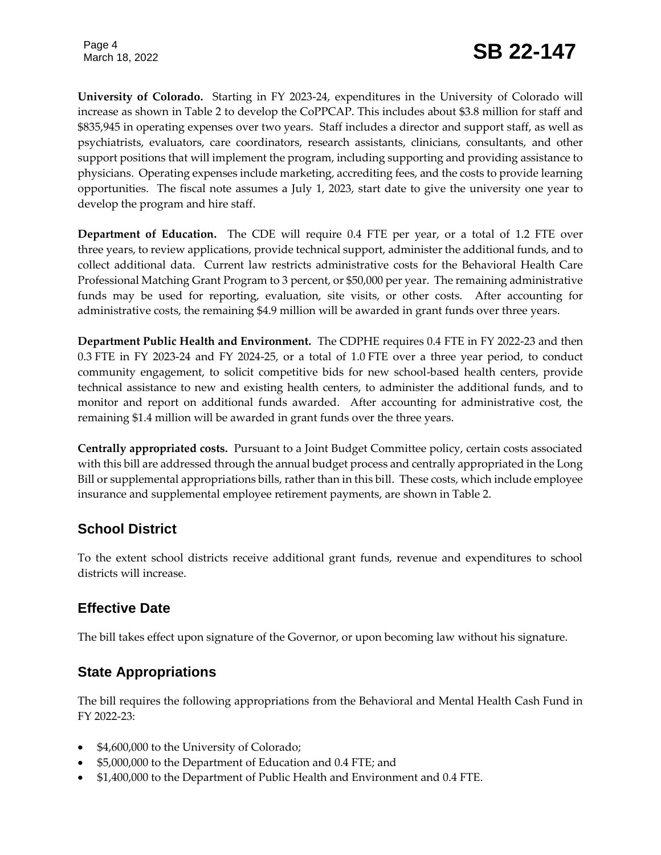Page 4

**University of Colorado.** Starting in FY 2023-24, expenditures in the University of Colorado will increase as shown in Table 2 to develop the CoPPCAP. This includes about \$3.8 million for staff and \$835,945 in operating expenses over two years. Staff includes a director and support staff, as well as psychiatrists, evaluators, care coordinators, research assistants, clinicians, consultants, and other support positions that will implement the program, including supporting and providing assistance to physicians. Operating expenses include marketing, accrediting fees, and the costs to provide learning opportunities. The fiscal note assumes a July 1, 2023, start date to give the university one year to develop the program and hire staff.

**Department of Education.** The CDE will require 0.4 FTE per year, or a total of 1.2 FTE over three years, to review applications, provide technical support, administer the additional funds, and to collect additional data. Current law restricts administrative costs for the Behavioral Health Care Professional Matching Grant Program to 3 percent, or \$50,000 per year. The remaining administrative funds may be used for reporting, evaluation, site visits, or other costs. After accounting for administrative costs, the remaining \$4.9 million will be awarded in grant funds over three years.

**Department Public Health and Environment.** The CDPHE requires 0.4 FTE in FY 2022-23 and then 0.3 FTE in FY 2023-24 and FY 2024-25, or a total of 1.0 FTE over a three year period, to conduct community engagement, to solicit competitive bids for new school-based health centers, provide technical assistance to new and existing health centers, to administer the additional funds, and to monitor and report on additional funds awarded. After accounting for administrative cost, the remaining \$1.4 million will be awarded in grant funds over the three years.

**Centrally appropriated costs.** Pursuant to a Joint Budget Committee policy, certain costs associated with this bill are addressed through the annual budget process and centrally appropriated in the Long Bill or supplemental appropriations bills, rather than in this bill. These costs, which include employee insurance and supplemental employee retirement payments, are shown in Table 2.

# **School District**

To the extent school districts receive additional grant funds, revenue and expenditures to school districts will increase.

# **Effective Date**

The bill takes effect upon signature of the Governor, or upon becoming law without his signature.

# **State Appropriations**

The bill requires the following appropriations from the Behavioral and Mental Health Cash Fund in FY 2022-23:

- \$4,600,000 to the University of Colorado;
- \$5,000,000 to the Department of Education and 0.4 FTE; and
- \$1,400,000 to the Department of Public Health and Environment and 0.4 FTE.